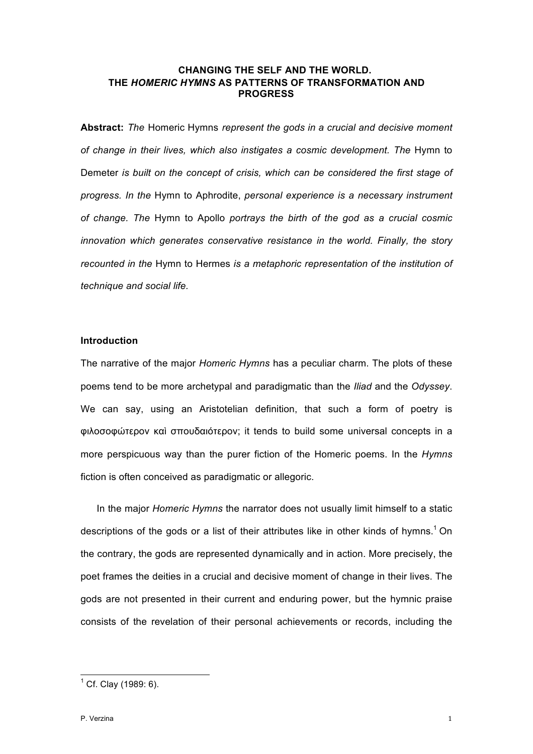# **CHANGING THE SELF AND THE WORLD. THE** *HOMERIC HYMNS* **AS PATTERNS OF TRANSFORMATION AND PROGRESS**

**Abstract:** *The* Homeric Hymns *represent the gods in a crucial and decisive moment of change in their lives, which also instigates a cosmic development. The* Hymn to Demeter *is built on the concept of crisis, which can be considered the first stage of progress. In the* Hymn to Aphrodite, *personal experience is a necessary instrument of change. The* Hymn to Apollo *portrays the birth of the god as a crucial cosmic innovation which generates conservative resistance in the world. Finally, the story recounted in the* Hymn to Hermes *is a metaphoric representation of the institution of technique and social life.*

### **Introduction**

The narrative of the major *Homeric Hymns* has a peculiar charm. The plots of these poems tend to be more archetypal and paradigmatic than the *Iliad* and the *Odyssey*. We can say, using an Aristotelian definition, that such a form of poetry is φιλοσοφώτερον καὶ σπουδαιότερον; it tends to build some universal concepts in a more perspicuous way than the purer fiction of the Homeric poems. In the *Hymns* fiction is often conceived as paradigmatic or allegoric.

In the major *Homeric Hymns* the narrator does not usually limit himself to a static descriptions of the gods or a list of their attributes like in other kinds of hymns.<sup>1</sup> On the contrary, the gods are represented dynamically and in action. More precisely, the poet frames the deities in a crucial and decisive moment of change in their lives. The gods are not presented in their current and enduring power, but the hymnic praise consists of the revelation of their personal achievements or records, including the

 $1^1$  Cf. Clav (1989: 6).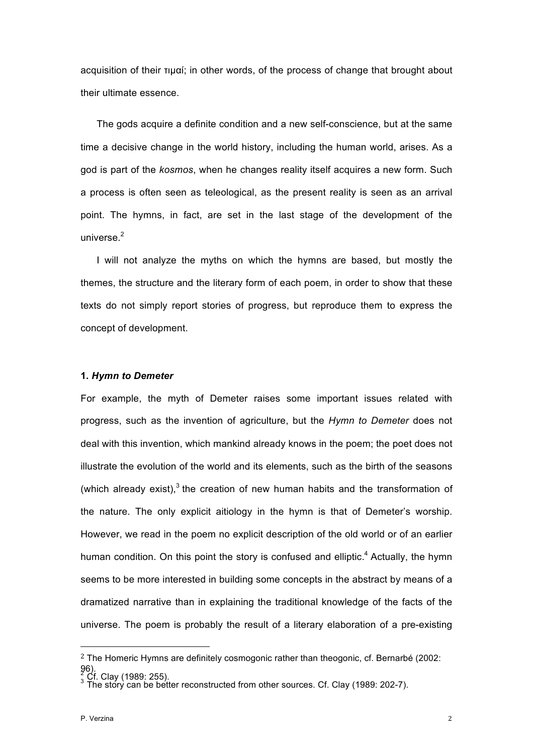acquisition of their τιµαί; in other words, of the process of change that brought about their ultimate essence.

The gods acquire a definite condition and a new self-conscience, but at the same time a decisive change in the world history, including the human world, arises. As a god is part of the *kosmos*, when he changes reality itself acquires a new form. Such a process is often seen as teleological, as the present reality is seen as an arrival point. The hymns, in fact, are set in the last stage of the development of the universe $^2$ 

I will not analyze the myths on which the hymns are based, but mostly the themes, the structure and the literary form of each poem, in order to show that these texts do not simply report stories of progress, but reproduce them to express the concept of development.

#### **1.** *Hymn to Demeter*

For example, the myth of Demeter raises some important issues related with progress, such as the invention of agriculture, but the *Hymn to Demeter* does not deal with this invention, which mankind already knows in the poem; the poet does not illustrate the evolution of the world and its elements, such as the birth of the seasons (which already exist), $3$  the creation of new human habits and the transformation of the nature. The only explicit aitiology in the hymn is that of Demeter's worship. However, we read in the poem no explicit description of the old world or of an earlier human condition. On this point the story is confused and elliptic.<sup>4</sup> Actually, the hymn seems to be more interested in building some concepts in the abstract by means of a dramatized narrative than in explaining the traditional knowledge of the facts of the universe. The poem is probably the result of a literary elaboration of a pre-existing

<u> 1989 - Johann Stein, marwolaethau a bh</u>

 $2$  The Homeric Hymns are definitely cosmogonic rather than theogonic, cf. Bernarbé (2002: 96).<br><sup>2</sup> Cf. Clay (1989: 255).<br><sup>3</sup> The story can be better reconstructed from other sources. Cf. Clay (1989: 202-7).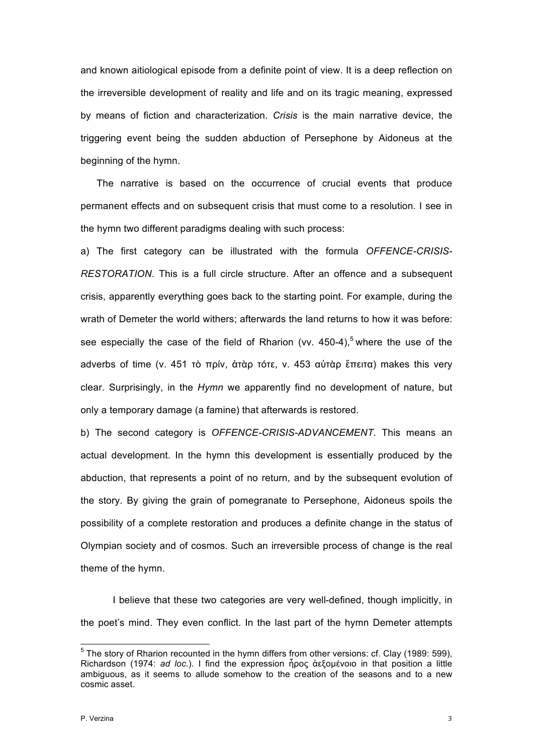and known aitiological episode from a definite point of view. It is a deep reflection on the irreversible development of reality and life and on its tragic meaning, expressed by means of fiction and characterization. *Crisis* is the main narrative device, the triggering event being the sudden abduction of Persephone by Aidoneus at the beginning of the hymn.

The narrative is based on the occurrence of crucial events that produce permanent effects and on subsequent crisis that must come to a resolution. I see in the hymn two different paradigms dealing with such process:

a) The first category can be illustrated with the formula *OFFENCE-CRISIS-RESTORATION*. This is a full circle structure. After an offence and a subsequent crisis, apparently everything goes back to the starting point. For example, during the wrath of Demeter the world withers; afterwards the land returns to how it was before: see especially the case of the field of Rharion (vv. 450-4),<sup>5</sup> where the use of the adverbs of time (v. 451 τὸ πρίν, ἀτὰρ τότε, v. 453 αὐτὰρ ἔπειτα) makes this very clear. Surprisingly, in the *Hymn* we apparently find no development of nature, but only a temporary damage (a famine) that afterwards is restored.

b) The second category is *OFFENCE-CRISIS-ADVANCEMENT*. This means an actual development. In the hymn this development is essentially produced by the abduction, that represents a point of no return, and by the subsequent evolution of the story. By giving the grain of pomegranate to Persephone, Aidoneus spoils the possibility of a complete restoration and produces a definite change in the status of Olympian society and of cosmos. Such an irreversible process of change is the real theme of the hymn.

I believe that these two categories are very well-defined, though implicitly, in the poet's mind. They even conflict. In the last part of the hymn Demeter attempts

 $5$  The story of Rharion recounted in the hymn differs from other versions: cf. Clay (1989: 599), Richardson (1974: *ad loc.*). I find the expression ἦρος ἀεξοµένοιο in that position a little ambiguous, as it seems to allude somehow to the creation of the seasons and to a new cosmic asset.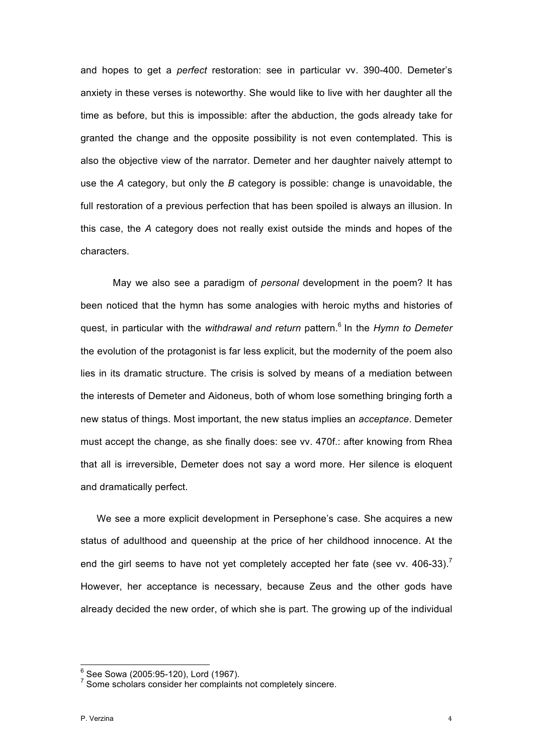and hopes to get a *perfect* restoration: see in particular vv. 390-400. Demeter's anxiety in these verses is noteworthy. She would like to live with her daughter all the time as before, but this is impossible: after the abduction, the gods already take for granted the change and the opposite possibility is not even contemplated. This is also the objective view of the narrator. Demeter and her daughter naively attempt to use the *A* category, but only the *B* category is possible: change is unavoidable, the full restoration of a previous perfection that has been spoiled is always an illusion. In this case, the *A* category does not really exist outside the minds and hopes of the characters.

May we also see a paradigm of *personal* development in the poem? It has been noticed that the hymn has some analogies with heroic myths and histories of quest, in particular with the *withdrawal and return* pattern.<sup>6</sup> In the *Hymn to Demeter* the evolution of the protagonist is far less explicit, but the modernity of the poem also lies in its dramatic structure. The crisis is solved by means of a mediation between the interests of Demeter and Aidoneus, both of whom lose something bringing forth a new status of things. Most important, the new status implies an *acceptance*. Demeter must accept the change, as she finally does: see vv. 470f.: after knowing from Rhea that all is irreversible, Demeter does not say a word more. Her silence is eloquent and dramatically perfect.

We see a more explicit development in Persephone's case. She acquires a new status of adulthood and queenship at the price of her childhood innocence. At the end the girl seems to have not yet completely accepted her fate (see vv. 406-33).<sup>7</sup> However, her acceptance is necessary, because Zeus and the other gods have already decided the new order, of which she is part. The growing up of the individual

 $6$  See Sowa (2005:95-120), Lord (1967).<br><sup>7</sup> Some scholars consider her complaints not completely sincere.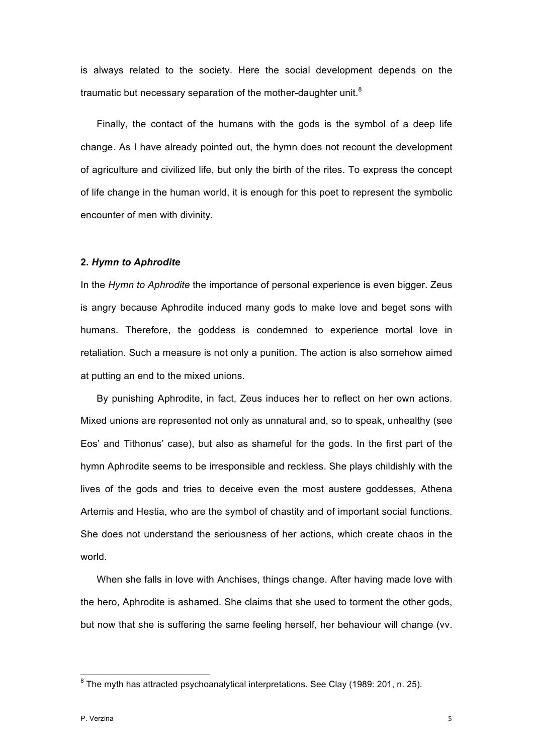is always related to the society. Here the social development depends on the traumatic but necessary separation of the mother-daughter unit.<sup>8</sup>

Finally, the contact of the humans with the gods is the symbol of a deep life change. As I have already pointed out, the hymn does not recount the development of agriculture and civilized life, but only the birth of the rites. To express the concept of life change in the human world, it is enough for this poet to represent the symbolic encounter of men with divinity.

#### **2.** *Hymn to Aphrodite*

In the *Hymn to Aphrodite* the importance of personal experience is even bigger. Zeus is angry because Aphrodite induced many gods to make love and beget sons with humans. Therefore, the goddess is condemned to experience mortal love in retaliation. Such a measure is not only a punition. The action is also somehow aimed at putting an end to the mixed unions.

By punishing Aphrodite, in fact, Zeus induces her to reflect on her own actions. Mixed unions are represented not only as unnatural and, so to speak, unhealthy (see Eos' and Tithonus' case), but also as shameful for the gods. In the first part of the hymn Aphrodite seems to be irresponsible and reckless. She plays childishly with the lives of the gods and tries to deceive even the most austere goddesses, Athena Artemis and Hestia, who are the symbol of chastity and of important social functions. She does not understand the seriousness of her actions, which create chaos in the world.

When she falls in love with Anchises, things change. After having made love with the hero, Aphrodite is ashamed. She claims that she used to torment the other gods, but now that she is suffering the same feeling herself, her behaviour will change (vv.

 $8$  The myth has attracted psychoanalytical interpretations. See Clay (1989: 201, n. 25).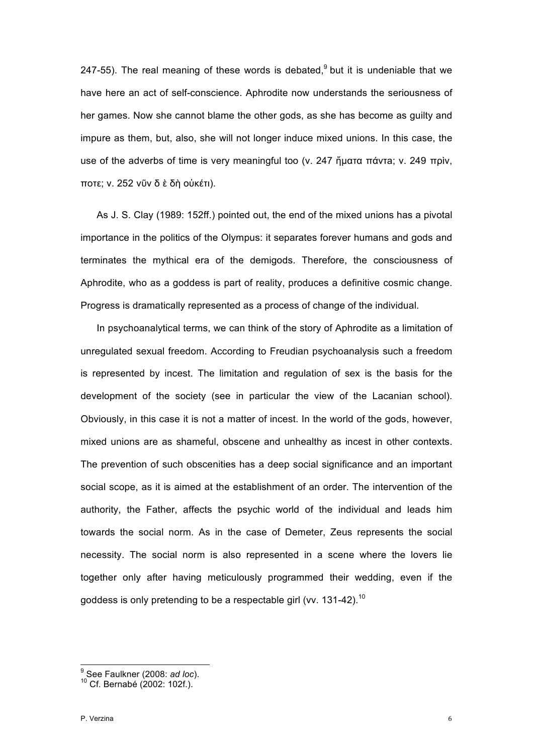247-55). The real meaning of these words is debated,  $9$  but it is undeniable that we have here an act of self-conscience. Aphrodite now understands the seriousness of her games. Now she cannot blame the other gods, as she has become as guilty and impure as them, but, also, she will not longer induce mixed unions. In this case, the use of the adverbs of time is very meaningful too (v. 247 ἤµατα πάντa; v. 249 πρὶν, ποτε; v. 252 νῦν δ ὲ δὴ οὐκέτι).

As J. S. Clay (1989: 152ff.) pointed out, the end of the mixed unions has a pivotal importance in the politics of the Olympus: it separates forever humans and gods and terminates the mythical era of the demigods. Therefore, the consciousness of Aphrodite, who as a goddess is part of reality, produces a definitive cosmic change. Progress is dramatically represented as a process of change of the individual.

In psychoanalytical terms, we can think of the story of Aphrodite as a limitation of unregulated sexual freedom. According to Freudian psychoanalysis such a freedom is represented by incest. The limitation and regulation of sex is the basis for the development of the society (see in particular the view of the Lacanian school). Obviously, in this case it is not a matter of incest. In the world of the gods, however, mixed unions are as shameful, obscene and unhealthy as incest in other contexts. The prevention of such obscenities has a deep social significance and an important social scope, as it is aimed at the establishment of an order. The intervention of the authority, the Father, affects the psychic world of the individual and leads him towards the social norm. As in the case of Demeter, Zeus represents the social necessity. The social norm is also represented in a scene where the lovers lie together only after having meticulously programmed their wedding, even if the goddess is only pretending to be a respectable girl (vv. 131-42).<sup>10</sup>

<sup>&</sup>lt;sup>9</sup> See Faulkner (2008: *ad loc*).<br><sup>10</sup> Cf. Bernabé (2002: 102f.).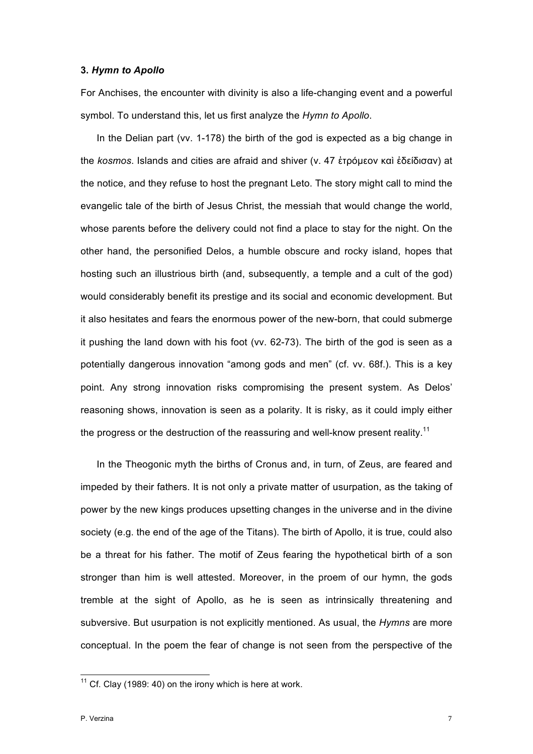#### **3.** *Hymn to Apollo*

For Anchises, the encounter with divinity is also a life-changing event and a powerful symbol. To understand this, let us first analyze the *Hymn to Apollo*.

In the Delian part (vv. 1-178) the birth of the god is expected as a big change in the *kosmos*. Islands and cities are afraid and shiver (v. 47 ἐτρόµεον καὶ ἐδείδισαν) at the notice, and they refuse to host the pregnant Leto. The story might call to mind the evangelic tale of the birth of Jesus Christ, the messiah that would change the world, whose parents before the delivery could not find a place to stay for the night. On the other hand, the personified Delos, a humble obscure and rocky island, hopes that hosting such an illustrious birth (and, subsequently, a temple and a cult of the god) would considerably benefit its prestige and its social and economic development. But it also hesitates and fears the enormous power of the new-born, that could submerge it pushing the land down with his foot (vv. 62-73). The birth of the god is seen as a potentially dangerous innovation "among gods and men" (cf. vv. 68f.). This is a key point. Any strong innovation risks compromising the present system. As Delos' reasoning shows, innovation is seen as a polarity. It is risky, as it could imply either the progress or the destruction of the reassuring and well-know present reality.<sup>11</sup>

In the Theogonic myth the births of Cronus and, in turn, of Zeus, are feared and impeded by their fathers. It is not only a private matter of usurpation, as the taking of power by the new kings produces upsetting changes in the universe and in the divine society (e.g. the end of the age of the Titans). The birth of Apollo, it is true, could also be a threat for his father. The motif of Zeus fearing the hypothetical birth of a son stronger than him is well attested. Moreover, in the proem of our hymn, the gods tremble at the sight of Apollo, as he is seen as intrinsically threatening and subversive. But usurpation is not explicitly mentioned. As usual, the *Hymns* are more conceptual. In the poem the fear of change is not seen from the perspective of the

 $11$  Cf. Clay (1989: 40) on the irony which is here at work.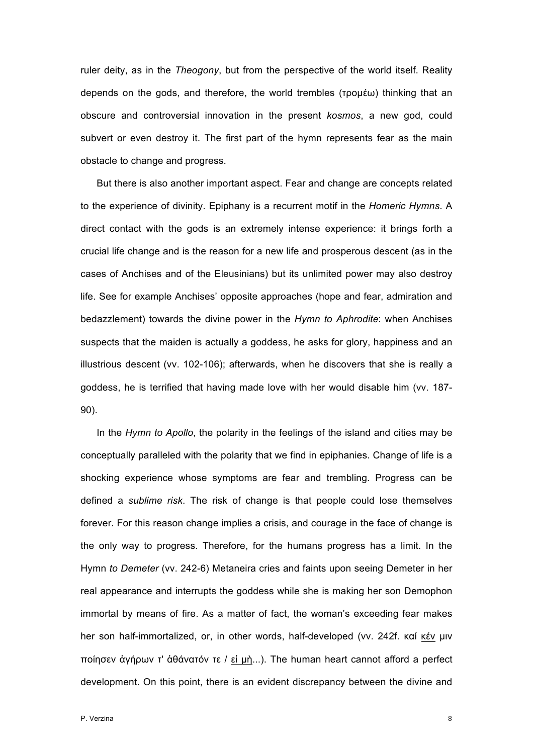ruler deity, as in the *Theogony*, but from the perspective of the world itself. Reality depends on the gods, and therefore, the world trembles (τροµέω) thinking that an obscure and controversial innovation in the present *kosmos*, a new god, could subvert or even destroy it. The first part of the hymn represents fear as the main obstacle to change and progress.

But there is also another important aspect. Fear and change are concepts related to the experience of divinity. Epiphany is a recurrent motif in the *Homeric Hymns*. A direct contact with the gods is an extremely intense experience: it brings forth a crucial life change and is the reason for a new life and prosperous descent (as in the cases of Anchises and of the Eleusinians) but its unlimited power may also destroy life. See for example Anchises' opposite approaches (hope and fear, admiration and bedazzlement) towards the divine power in the *Hymn to Aphrodite*: when Anchises suspects that the maiden is actually a goddess, he asks for glory, happiness and an illustrious descent (vv. 102-106); afterwards, when he discovers that she is really a goddess, he is terrified that having made love with her would disable him (vv. 187- 90).

In the *Hymn to Apollo*, the polarity in the feelings of the island and cities may be conceptually paralleled with the polarity that we find in epiphanies. Change of life is a shocking experience whose symptoms are fear and trembling. Progress can be defined a *sublime risk*. The risk of change is that people could lose themselves forever. For this reason change implies a crisis, and courage in the face of change is the only way to progress. Therefore, for the humans progress has a limit. In the Hymn *to Demeter* (vv. 242-6) Metaneira cries and faints upon seeing Demeter in her real appearance and interrupts the goddess while she is making her son Demophon immortal by means of fire. As a matter of fact, the woman's exceeding fear makes her son half-immortalized, or, in other words, half-developed (vv. 242f. καί κέν µιν ποίησεν ἀγήρων τ' ἀθάνατόν τε / εἰ µὴ...). The human heart cannot afford a perfect development. On this point, there is an evident discrepancy between the divine and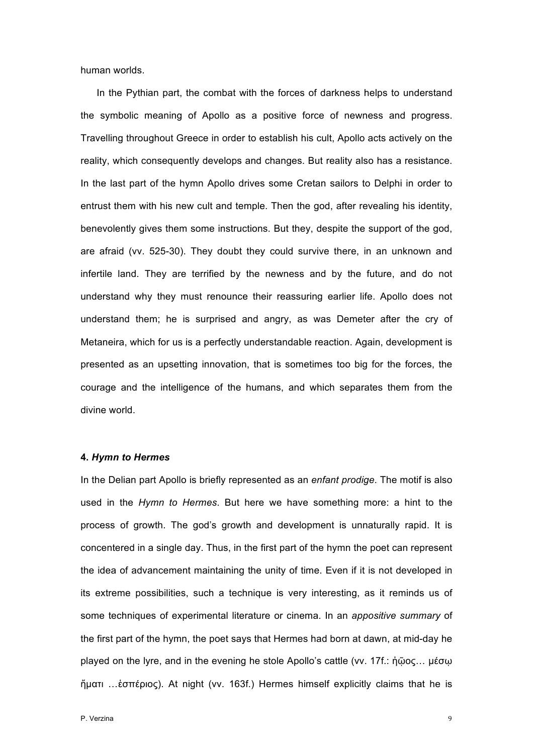human worlds.

In the Pythian part, the combat with the forces of darkness helps to understand the symbolic meaning of Apollo as a positive force of newness and progress. Travelling throughout Greece in order to establish his cult, Apollo acts actively on the reality, which consequently develops and changes. But reality also has a resistance. In the last part of the hymn Apollo drives some Cretan sailors to Delphi in order to entrust them with his new cult and temple. Then the god, after revealing his identity, benevolently gives them some instructions. But they, despite the support of the god, are afraid (vv. 525-30). They doubt they could survive there, in an unknown and infertile land. They are terrified by the newness and by the future, and do not understand why they must renounce their reassuring earlier life. Apollo does not understand them; he is surprised and angry, as was Demeter after the cry of Metaneira, which for us is a perfectly understandable reaction. Again, development is presented as an upsetting innovation, that is sometimes too big for the forces, the courage and the intelligence of the humans, and which separates them from the divine world.

#### **4.** *Hymn to Hermes*

In the Delian part Apollo is briefly represented as an *enfant prodige*. The motif is also used in the *Hymn to Hermes*. But here we have something more: a hint to the process of growth. The god's growth and development is unnaturally rapid. It is concentered in a single day. Thus, in the first part of the hymn the poet can represent the idea of advancement maintaining the unity of time. Even if it is not developed in its extreme possibilities, such a technique is very interesting, as it reminds us of some techniques of experimental literature or cinema. In an *appositive summary* of the first part of the hymn, the poet says that Hermes had born at dawn, at mid-day he played on the lyre, and in the evening he stole Apollo's cattle (vv. 17f.: ἠῷος… µέσῳ ἤµατι …ἑσπέριος). At night (vv. 163f.) Hermes himself explicitly claims that he is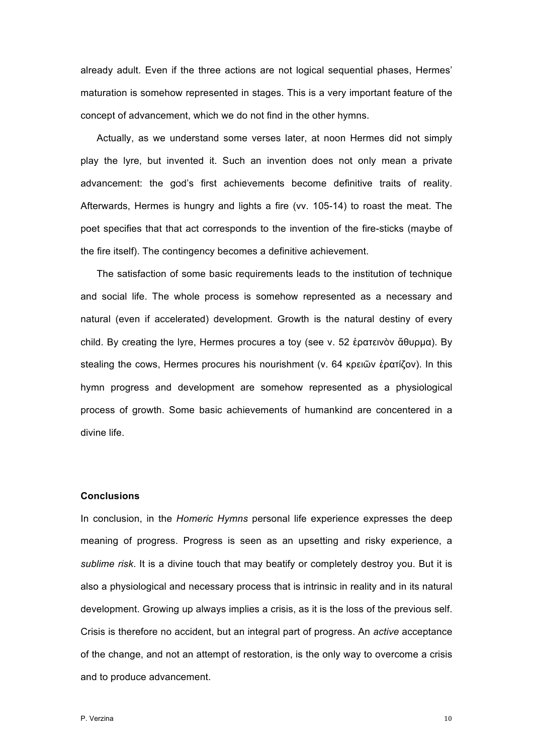already adult. Even if the three actions are not logical sequential phases, Hermes' maturation is somehow represented in stages. This is a very important feature of the concept of advancement, which we do not find in the other hymns.

Actually, as we understand some verses later, at noon Hermes did not simply play the lyre, but invented it. Such an invention does not only mean a private advancement: the god's first achievements become definitive traits of reality. Afterwards, Hermes is hungry and lights a fire (vv. 105-14) to roast the meat. The poet specifies that that act corresponds to the invention of the fire-sticks (maybe of the fire itself). The contingency becomes a definitive achievement.

The satisfaction of some basic requirements leads to the institution of technique and social life. The whole process is somehow represented as a necessary and natural (even if accelerated) development. Growth is the natural destiny of every child. By creating the lyre, Hermes procures a toy (see v. 52 ἐρατεινὸν ἄθυρµα). By stealing the cows, Hermes procures his nourishment (v. 64 κρειῶν ἐρατίζον). In this hymn progress and development are somehow represented as a physiological process of growth. Some basic achievements of humankind are concentered in a divine life.

## **Conclusions**

In conclusion, in the *Homeric Hymns* personal life experience expresses the deep meaning of progress. Progress is seen as an upsetting and risky experience, a *sublime risk*. It is a divine touch that may beatify or completely destroy you. But it is also a physiological and necessary process that is intrinsic in reality and in its natural development. Growing up always implies a crisis, as it is the loss of the previous self. Crisis is therefore no accident, but an integral part of progress. An *active* acceptance of the change, and not an attempt of restoration, is the only way to overcome a crisis and to produce advancement.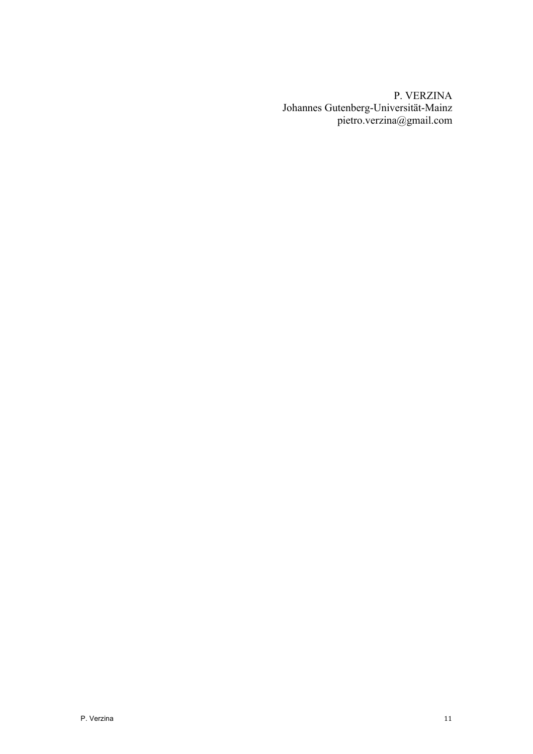P. VERZINA Johannes Gutenberg-Universität-Mainz pietro.verzina@gmail.com